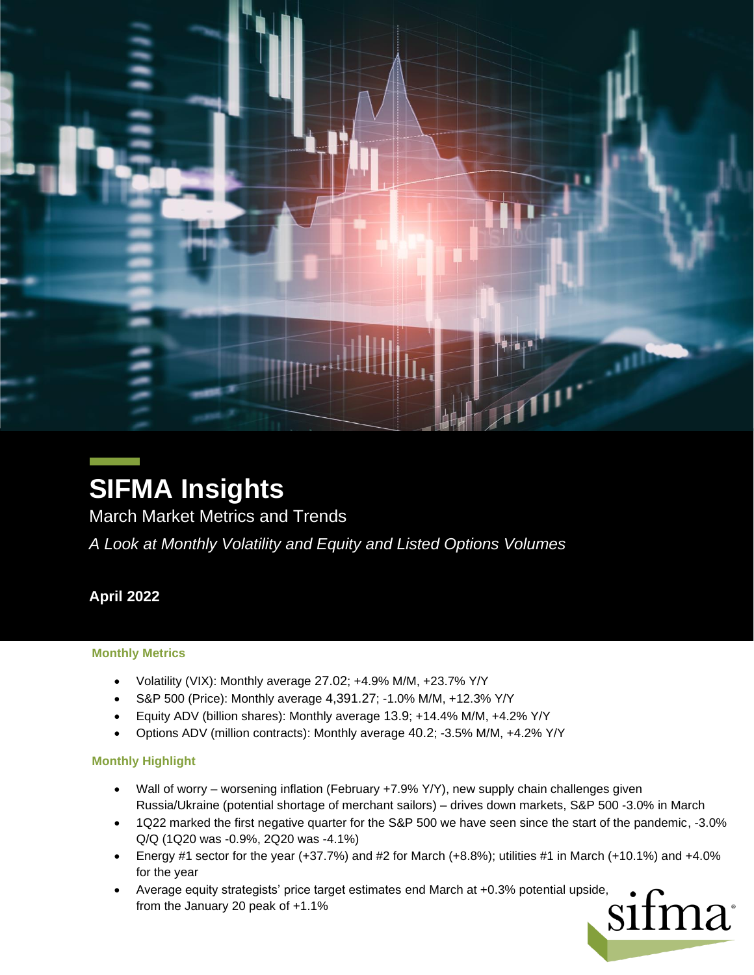

# **SIFMA Insights**

March Market Metrics and Trends

*A Look at Monthly Volatility and Equity and Listed Options Volumes*

# **April 2022**

#### **Monthly Metrics**

- Volatility (VIX): Monthly average 27.02; +4.9% M/M, +23.7% Y/Y
- S&P 500 (Price): Monthly average 4,391.27; -1.0% M/M, +12.3% Y/Y
- Equity ADV (billion shares): Monthly average 13.9; +14.4% M/M, +4.2% Y/Y
- Options ADV (million contracts): Monthly average 40.2; -3.5% M/M, +4.2% Y/Y

#### **Monthly Highlight**

- Wall of worry worsening inflation (February +7.9% Y/Y), new supply chain challenges given Russia/Ukraine (potential shortage of merchant sailors) – drives down markets, S&P 500 -3.0% in March
- 1Q22 marked the first negative quarter for the S&P 500 we have seen since the start of the pandemic, -3.0% Q/Q (1Q20 was -0.9%, 2Q20 was -4.1%)
- Energy #1 sector for the year (+37.7%) and #2 for March (+8.8%); utilities #1 in March (+10.1%) and +4.0% for the year
- from the January 20 peak of +1.1%  $\Omega$  and  $\Omega$  and  $\Omega$  and  $\Omega$ • Average equity strategists' price target estimates end March at +0.3% potential upside,<br>from the January 20 peak of +1.1%<br> $\text{SIMa}^*$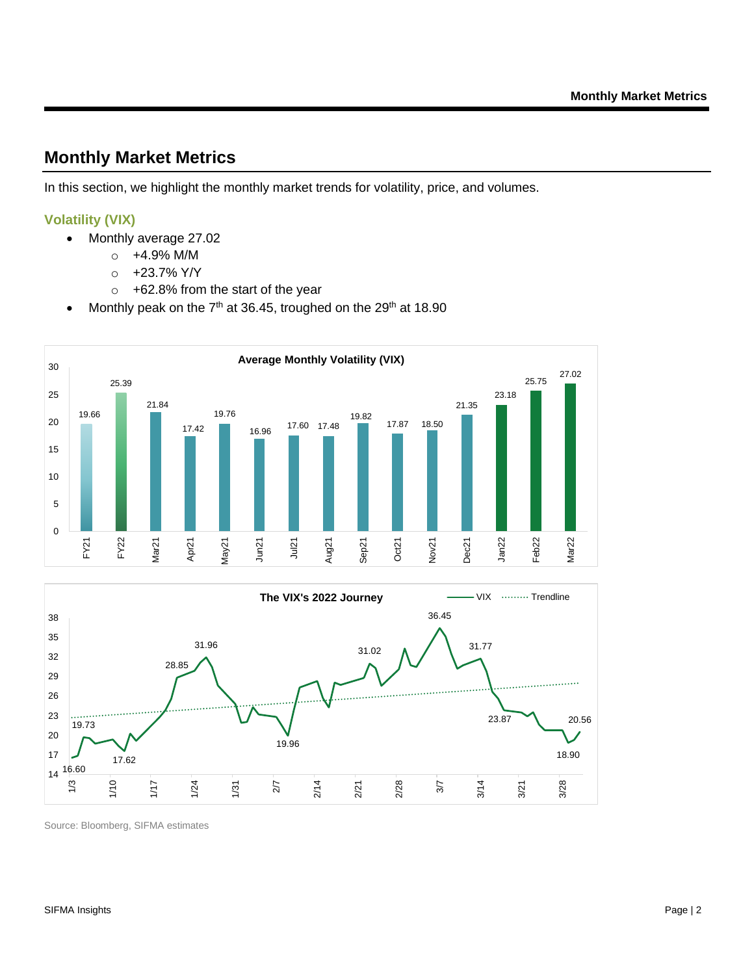# **Monthly Market Metrics**

In this section, we highlight the monthly market trends for volatility, price, and volumes.

### **Volatility (VIX)**

- Monthly average 27.02
	- $\circ$  +4.9% M/M
	- $\circ$  +23.7% Y/Y
	- o +62.8% from the start of the year
- Monthly peak on the  $7<sup>th</sup>$  at 36.45, troughed on the 29<sup>th</sup> at 18.90



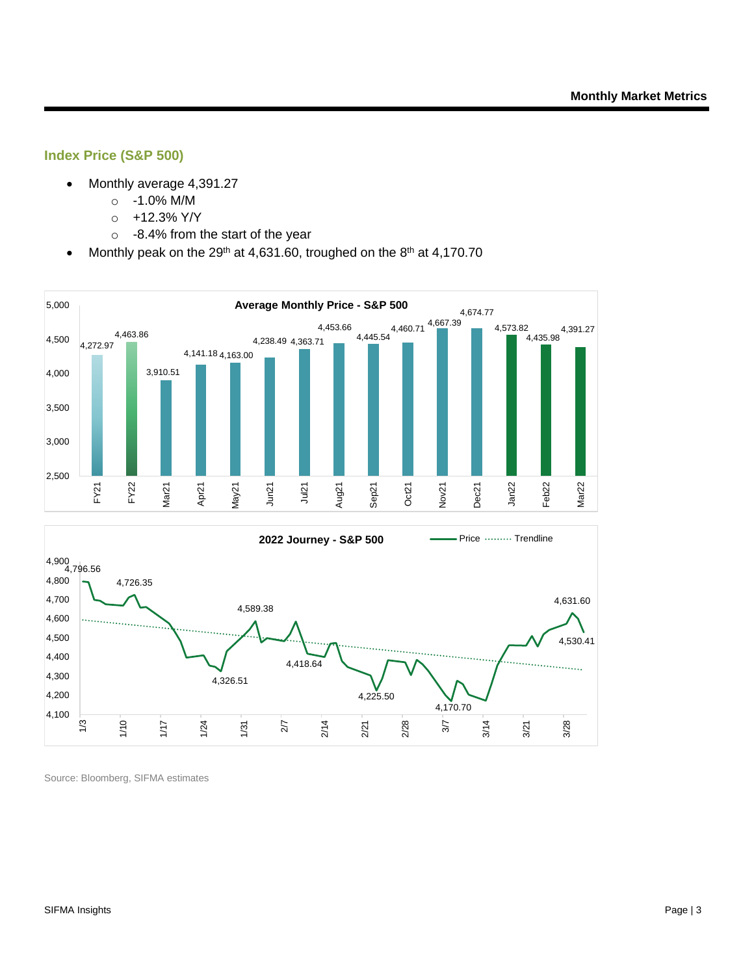#### **Index Price (S&P 500)**

- Monthly average 4,391.27
	- o -1.0% M/M
	- $o +12.3\%$  Y/Y
	- o -8.4% from the start of the year
- Monthly peak on the 29<sup>th</sup> at 4,631.60, troughed on the 8<sup>th</sup> at 4,170.70

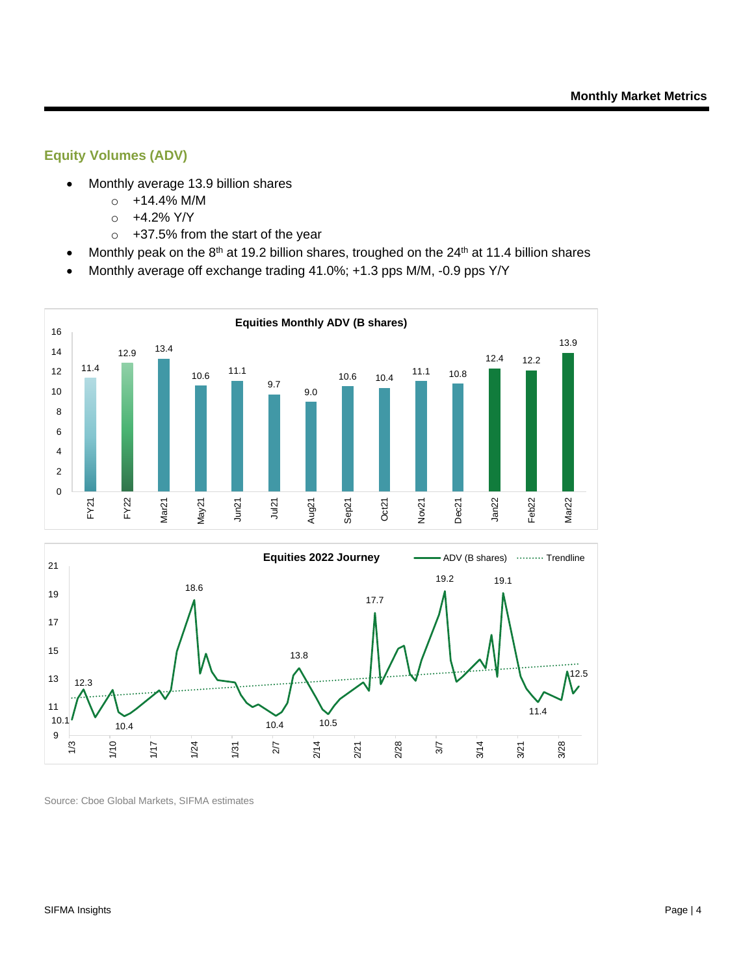## **Equity Volumes (ADV)**

- Monthly average 13.9 billion shares
	- o +14.4% M/M
	- $\circ$  +4.2% Y/Y
	- o +37.5% from the start of the year
- Monthly peak on the  $8<sup>th</sup>$  at 19.2 billion shares, troughed on the 24<sup>th</sup> at 11.4 billion shares
- Monthly average off exchange trading 41.0%; +1.3 pps M/M, -0.9 pps Y/Y



Source: Cboe Global Markets, SIFMA estimates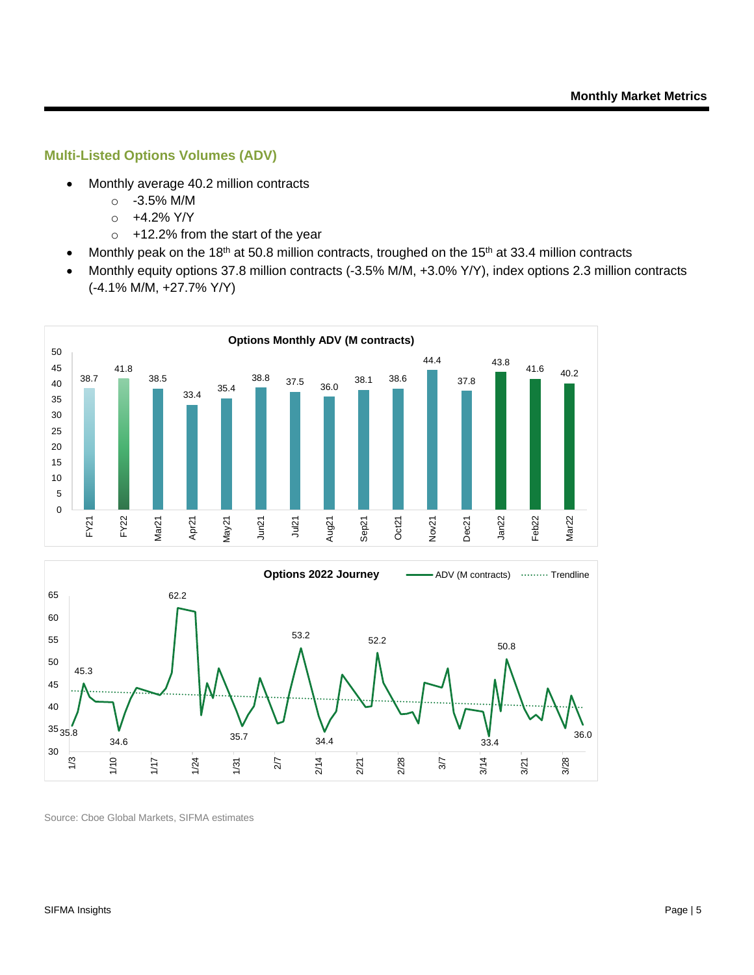#### **Multi-Listed Options Volumes (ADV)**

- Monthly average 40.2 million contracts
	- o -3.5% M/M
	- $\circ$  +4.2% Y/Y
	- $\circ$  +12.2% from the start of the year
- Monthly peak on the 18<sup>th</sup> at 50.8 million contracts, troughed on the 15<sup>th</sup> at 33.4 million contracts
- Monthly equity options 37.8 million contracts (-3.5% M/M, +3.0% Y/Y), index options 2.3 million contracts (-4.1% M/M, +27.7% Y/Y)



Source: Cboe Global Markets, SIFMA estimates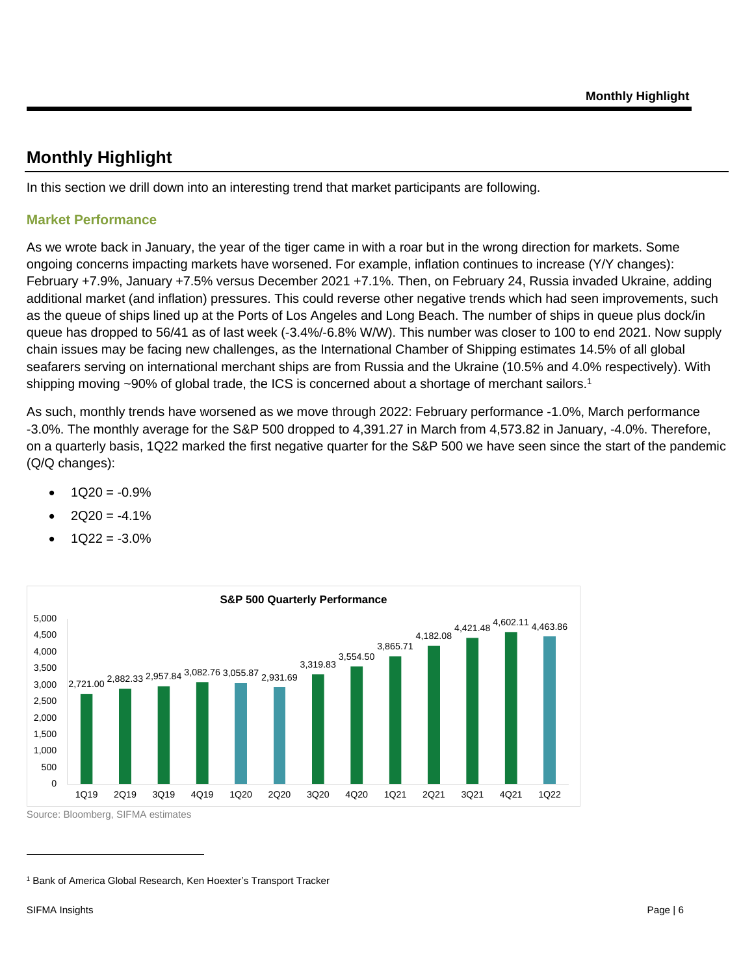# **Monthly Highlight**

In this section we drill down into an interesting trend that market participants are following.

### **Market Performance**

As we wrote back in January, the year of the tiger came in with a roar but in the wrong direction for markets. Some ongoing concerns impacting markets have worsened. For example, inflation continues to increase (Y/Y changes): February +7.9%, January +7.5% versus December 2021 +7.1%. Then, on February 24, Russia invaded Ukraine, adding additional market (and inflation) pressures. This could reverse other negative trends which had seen improvements, such as the queue of ships lined up at the Ports of Los Angeles and Long Beach. The number of ships in queue plus dock/in queue has dropped to 56/41 as of last week (-3.4%/-6.8% W/W). This number was closer to 100 to end 2021. Now supply chain issues may be facing new challenges, as the International Chamber of Shipping estimates 14.5% of all global seafarers serving on international merchant ships are from Russia and the Ukraine (10.5% and 4.0% respectively). With shipping moving ~90% of global trade, the ICS is concerned about a shortage of merchant sailors.<sup>1</sup>

As such, monthly trends have worsened as we move through 2022: February performance -1.0%, March performance -3.0%. The monthly average for the S&P 500 dropped to 4,391.27 in March from 4,573.82 in January, -4.0%. Therefore, on a quarterly basis, 1Q22 marked the first negative quarter for the S&P 500 we have seen since the start of the pandemic (Q/Q changes):

- $1Q20 = -0.9%$
- $2Q20 = -4.1%$
- $1Q22 = -3.0%$



<sup>&</sup>lt;sup>1</sup> Bank of America Global Research, Ken Hoexter's Transport Tracker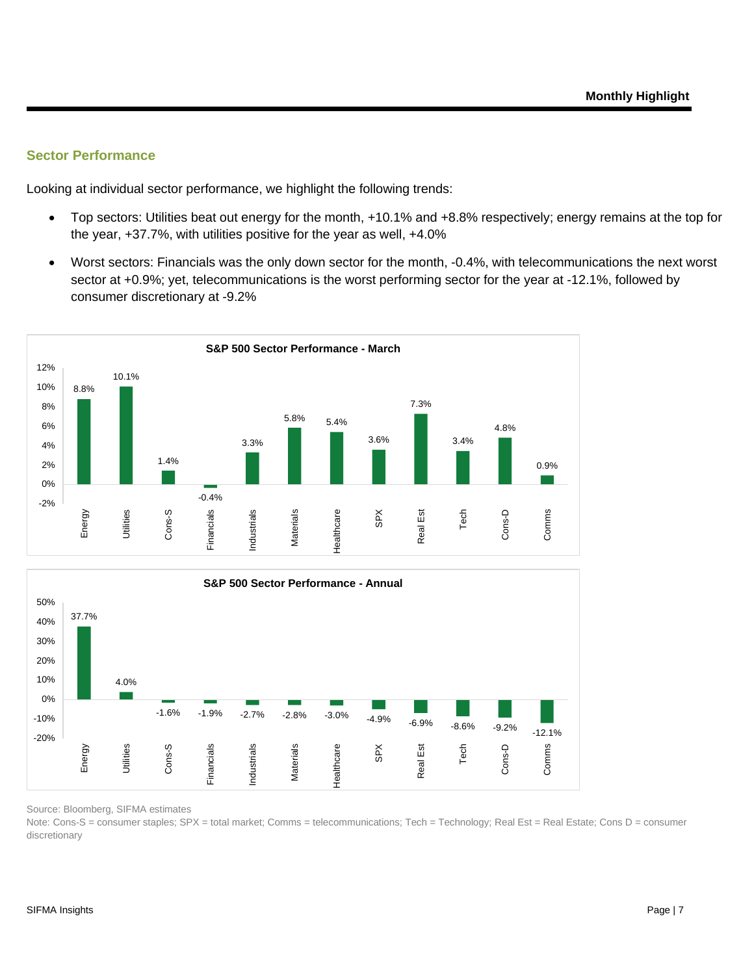#### **Sector Performance**

Looking at individual sector performance, we highlight the following trends:

- Top sectors: Utilities beat out energy for the month, +10.1% and +8.8% respectively; energy remains at the top for the year, +37.7%, with utilities positive for the year as well, +4.0%
- Worst sectors: Financials was the only down sector for the month, -0.4%, with telecommunications the next worst sector at +0.9%; yet, telecommunications is the worst performing sector for the year at -12.1%, followed by consumer discretionary at -9.2%





Source: Bloomberg, SIFMA estimates

Note: Cons-S = consumer staples; SPX = total market; Comms = telecommunications; Tech = Technology; Real Est = Real Estate; Cons D = consumer discretionary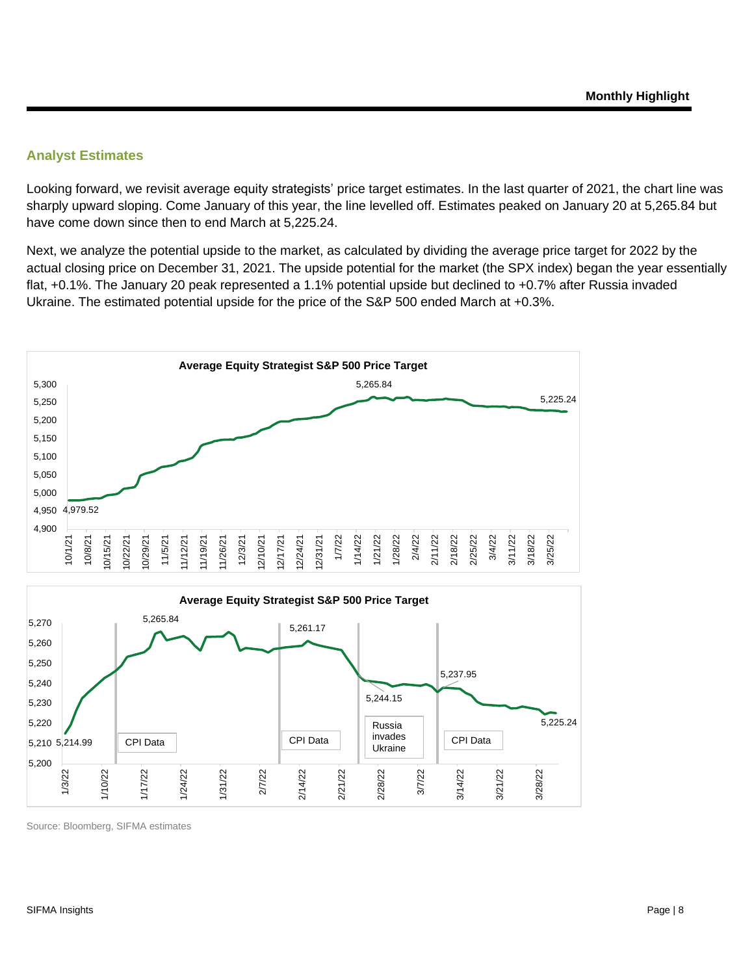## **Analyst Estimates**

Looking forward, we revisit average equity strategists' price target estimates. In the last quarter of 2021, the chart line was sharply upward sloping. Come January of this year, the line levelled off. Estimates peaked on January 20 at 5,265.84 but have come down since then to end March at 5,225.24.

Next, we analyze the potential upside to the market, as calculated by dividing the average price target for 2022 by the actual closing price on December 31, 2021. The upside potential for the market (the SPX index) began the year essentially flat, +0.1%. The January 20 peak represented a 1.1% potential upside but declined to +0.7% after Russia invaded Ukraine. The estimated potential upside for the price of the S&P 500 ended March at +0.3%.